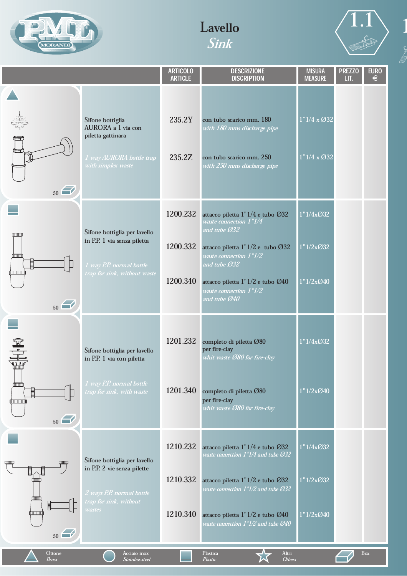





1

|                                                                                                                                                                                                                                                                                                                                               |                                                                                                               | <b>ARTICOLO</b><br><b>ARTICLE</b> | <b>DESCRIZIONE</b><br><b>DISCRIPTION</b>                                                                           | <b>MISURA</b><br><b>MEASURE</b>          | <b>PREZZO</b><br>LIT. | <b>EURO</b><br>€ |
|-----------------------------------------------------------------------------------------------------------------------------------------------------------------------------------------------------------------------------------------------------------------------------------------------------------------------------------------------|---------------------------------------------------------------------------------------------------------------|-----------------------------------|--------------------------------------------------------------------------------------------------------------------|------------------------------------------|-----------------------|------------------|
| ne<br>Mari<br>Anton<br>50                                                                                                                                                                                                                                                                                                                     | Sifone bottiglia<br>AURORA a 1 via con<br>piletta gattinara<br>1 way AURORA bottle trap<br>with simplex waste | 235.2Y<br>235.2Z                  | con tubo scarico mm. 180<br>with 180 mms discharge pipe<br>con tubo scarico mm. 250<br>with 250 mms discharge pipe | $1"1/4 \times Q32$<br>$1"1/4 \times Q32$ |                       |                  |
|                                                                                                                                                                                                                                                                                                                                               | Sifone bottiglia per lavello                                                                                  | 1200.232                          | attacco piletta 1"1/4 e tubo Ø32<br>waste connection 1"1/4<br>and tube Ø32                                         | 1"1/4x@32                                |                       |                  |
| umm<br>血血                                                                                                                                                                                                                                                                                                                                     | in P.P. 1 via senza piletta                                                                                   | 1200.332                          | attacco piletta 1"1/2 e tubo Ø32<br>waste connection 1"1/2<br>and tube Ø32                                         | 1"1/2x@32                                |                       |                  |
| ர் படபர்<br>50                                                                                                                                                                                                                                                                                                                                | 1 way P.P. normal bottle<br>trap for sink, without waste                                                      | 1200.340                          | attacco piletta $1"1/2$ e tubo $\emptyset$ 40<br>waste connection $1^{\prime\prime}\!1\!/2$<br>and tube Ø40        | 1"1/2x@40                                |                       |                  |
| $\begin{picture}(45,17) \put(0,0){\line(1,0){155}} \put(10,0){\line(1,0){155}} \put(10,0){\line(1,0){155}} \put(10,0){\line(1,0){155}} \put(10,0){\line(1,0){155}} \put(10,0){\line(1,0){155}} \put(10,0){\line(1,0){155}} \put(10,0){\line(1,0){155}} \put(10,0){\line(1,0){155}} \put(10,0){\line(1,0){155}} \put(10,0){\line(1,0){155}} \$ | Sifone bottiglia per lavello<br>in P.P. 1 via con piletta                                                     | 1201.232                          | completo di piletta Ø80<br>per fire-clay<br>whit waste Ø80 for fire-clay                                           | 1"1/4x@32                                |                       |                  |
| <b>COLORED PERSON</b><br>圁<br>ய்யாம்<br>50                                                                                                                                                                                                                                                                                                    | 1 way P.P. normal bottle<br>trap for sink, with waste                                                         | 1201.340                          | completo di piletta Ø80<br>per fire-clay<br>whit waste Ø80 for fire-clay                                           | 1"1/2x@40                                |                       |                  |
| QШШ<br>0000                                                                                                                                                                                                                                                                                                                                   | Sifone bottiglia per lavello                                                                                  | 1210.232                          | attacco piletta 1"1/4 e tubo Ø32<br>waste connection 1"1/4 and tube Ø32                                            | 1"1/4xO32                                |                       |                  |
| 目<br>imm<br>血血                                                                                                                                                                                                                                                                                                                                | in P.P. 2 vie senza pilette<br>2 ways P.P. normal bottle<br>trap for sink, without                            | 1210.332                          | attacco piletta 1"1/2 e tubo Ø32<br>waste connection 1"1/2 and tube Ø32                                            | 1"1/2xO32                                |                       |                  |
| I<br><b>QUELLE DE LA</b><br>50                                                                                                                                                                                                                                                                                                                | wastes                                                                                                        | 1210.340                          | attacco piletta 1"1/2 e tubo Ø40<br>waste connection 1"1/2 and tube Ø40                                            | 1"1/2x@40                                |                       |                  |
| Ottone<br>Brass                                                                                                                                                                                                                                                                                                                               | Acciaio inox<br><b>Stainless steel</b>                                                                        |                                   | Altri<br>Plastica<br><b>Others</b><br>Plastic                                                                      |                                          |                       | Box              |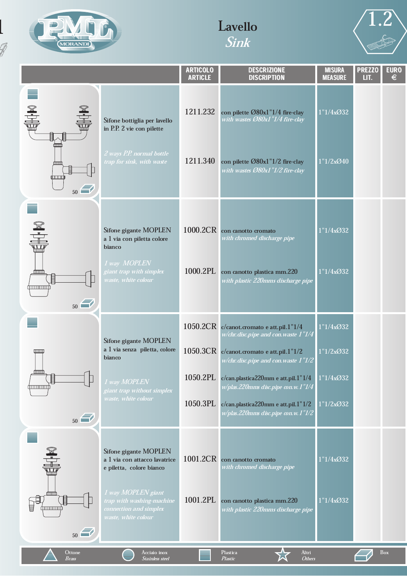

 $\mathbb{Z}$ 

# Lavello Sink



|                                                                     |                                                                                                  | <b>ARTICOLO</b><br><b>ARTICLE</b> | <b>DESCRIZIONE</b><br><b>DISCRIPTION</b>                                          | <b>MISURA</b><br><b>MEASURE</b> | <b>PREZZO</b><br>LIT. | <b>EURO</b><br>€ |
|---------------------------------------------------------------------|--------------------------------------------------------------------------------------------------|-----------------------------------|-----------------------------------------------------------------------------------|---------------------------------|-----------------------|------------------|
| $\begin{array}{c} \mathbb{R} \ \mathbb{R} \ \mathbb{H} \end{array}$ | Sifone bottiglia per lavello<br>in P.P. 2 vie con pilette                                        | 1211.232                          | con pilette Ø80x1"1/4 fire-clay<br>with wastes Ø80x1"1/4 fire-clay                | 1"1/4x@32                       |                       |                  |
| هسته<br>目<br>شتبيتين<br>50                                          | 2 ways P.P. normal bottle<br>trap for sink, with waste                                           | 1211.340                          | con pilette Ø80x1"1/2 fire-clay<br>with wastes Ø80x1"1/2 fire-clay                | 1"1/2x@40                       |                       |                  |
| EH K                                                                | Sifone gigante MOPLEN<br>a 1 via con piletta colore<br>bianco                                    | 1000.2CR                          | con canotto cromato<br>with chromed discharge pipe                                | 1"1/4xO32                       |                       |                  |
| نسست<br>眉<br>أسسستنتا<br>50                                         | 1 way MOPLEN<br>giant trap with simplex<br>waste, white colour                                   | 1000.2PL                          | con canotto plastica mm.220<br>with plastic 220mms discharge pipe                 | 1"1/4xO32                       |                       |                  |
|                                                                     |                                                                                                  |                                   | 1050.2CR c/canot.cromato e att.pil.1"1/4<br>w/chr.disc.pipe and con.waste 1"1/4   | 1"1/4xO32                       |                       |                  |
| $\text{mm}$                                                         | Sifone gigante MOPLEN<br>a 1 via senza piletta, colore<br>bianco                                 |                                   | 1050.3CR c/canot.cromato e att.pil.1"1/2<br>w/chr.disc.pipe and con.waste $1"1/2$ | 1"1/2xO32                       |                       |                  |
| <b>finnin</b><br>眉<br><u>immini</u>                                 | 1 way MOPLEN                                                                                     | 1050.2PL                          | c/can.plastica220mm e att.pil.1"1/4<br>w/plas.220mms disc.pipe con.w.1"1/4        | 1"1/4xO32                       |                       |                  |
| 50                                                                  | giant trap without simplex<br>waste, white colour                                                | 1050.3PL                          | c/can.plastica220mm e att.pil.1"1/2<br>w/plas.220mms disc.pipe con.w.1"1/2        | 1"1/2xO32                       |                       |                  |
| EH-10                                                               | Sifone gigante MOPLEN<br>a 1 via con attacco lavatrice<br>e piletta, colore bianco               | 1001.2CR                          | con canotto cromato<br>with chromed discharge pipe                                | 1"1/4xO32                       |                       |                  |
| mmm<br>苜<br>'immuni<br>50                                           | 1 way MOPLEN giant<br>trap with washing-machine<br>connection and simplex<br>waste, white colour | 1001.2PL                          | con canotto plastica mm.220<br>with plastic 220mms discharge pipe                 | 1"1/4xO32                       |                       |                  |
| Ottone<br><b>Brass</b>                                              | Acciaio inox<br>Stainless steel                                                                  |                                   | Altri<br>Plastica<br><b>Others</b><br>Plastic                                     |                                 |                       | <b>Box</b>       |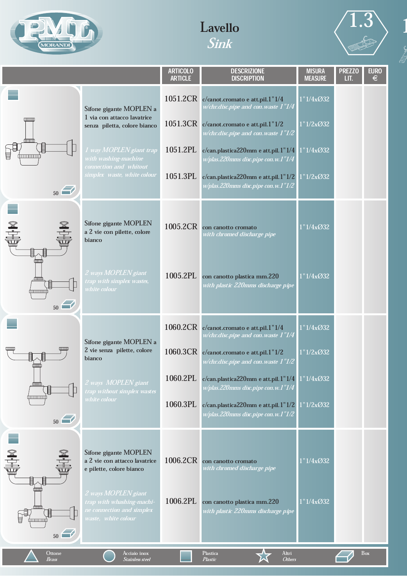





|<br>|}<br>|}

|                               |                                                                                                      | <b>ARTICOLO</b><br><b>ARTICLE</b> | <b>DESCRIZIONE</b><br><b>DISCRIPTION</b>                                                                     | <b>MISURA</b><br><b>MEASURE</b> | <b>PREZZO</b><br>LIT. | <b>EURO</b><br>€ |
|-------------------------------|------------------------------------------------------------------------------------------------------|-----------------------------------|--------------------------------------------------------------------------------------------------------------|---------------------------------|-----------------------|------------------|
|                               | Sifone gigante MOPLEN a<br>1 via con attacco lavatrice                                               |                                   | 1051.2CR c/canot.cromato e att.pil.1"1/4<br>w/chr.disc.pipe and con.waste 1"1/4 $\,$                         | 1"1/4xO32                       |                       |                  |
| (MMIL                         | senza piletta, colore bianco                                                                         |                                   | 1051.3CR c/canot.cromato e att.pil.1"1/2<br>w/chr.disc.pipe and con.waste $1^{\prime\prime}\!1\!/2$          | 1"1/2xO32                       |                       |                  |
|                               | 1 way MOPLEN giant trap<br>with washing-machine                                                      | 1051.2PL                          | c/can.plastica220mm e att.pil.1"1/4<br>w/plas.220mms disc.pipe con.w.1"1/4                                   | 1"1/4xO32                       |                       |                  |
| 50                            | connection and whitout<br>simplex waste, white colour                                                | 1051.3PL                          | $c/can$ . plastica 220mm e att. pil. $1"1/2$<br>w/plas.220mms disc.pipe con.w.1"1/2                          | 1"1/2xO32                       |                       |                  |
| EIN                           | Sifone gigante MOPLEN<br>a 2 vie con pilette, colore<br>bianco                                       | 1005.2CR                          | con canotto cromato<br>with chromed discharge pipe                                                           | 1"1/4x@32                       |                       |                  |
| <b>fmm</b><br>mm<br>mmm<br>50 | 2 ways MOPLEN giant<br>trap with simplex wastes,<br>white colour                                     | 1005.2PL                          | con canotto plastica mm.220<br>with plastic 220mms discharge pipe                                            | 1"1/4xO32                       |                       |                  |
|                               | Sifone gigante MOPLEN a<br>2 vie senza pilette, colore<br>bianco                                     |                                   | 1060.2CR c/canot.cromato e att.pil.1"1/4<br>w/chr.disc.pipe and con.waste $1\ensuremath{''}1\ensuremath{/}4$ | 1"1/4xO32                       |                       |                  |
|                               |                                                                                                      |                                   | 1060.3CR c/canot.cromato e att.pil.1"1/2<br>w/chr.disc.pipe and con.waste $1^{\prime\prime}\!1\!/2$          | 1"1/2xO32                       |                       |                  |
| <u>immin</u>                  | 2 ways MOPLEN giant<br>trap without simplex wastes                                                   | 1060.2PL                          | $c/can$ .plastica220mm e att.pil.1"1/4<br>w/plas.220mms disc.pipe con.w.1"1/4                                | 1"1/4xO32                       |                       |                  |
| <u> (mmmm)</u><br>50          | white colour                                                                                         | 1060.3PL                          | $c/can$ . plastica 220mm e att. pil. $1"1/2$<br>w/plas.220mms disc.pipe con.w.1"1/2                          | 1"1/2xO32                       |                       |                  |
|                               | Sifone gigante MOPLEN<br>a 2 vie con attacco lavatrice<br>e pilette, colore bianco                   | 1006.2CR                          | con canotto cromato<br>with chromed discharge pipe                                                           | 1"1/4xO32                       |                       |                  |
| ┉<br>血血<br>tunnun'<br>50      | 2 ways MOPLEN giant<br>trap with whashing-machi-<br>ne connection and simplex<br>waste, white colour | 1006.2PL                          | con canotto plastica mm.220<br>with plastic 220mms discharge pipe                                            | 1"1/4x@32                       |                       |                  |
| Ottone<br><b>Brass</b>        | Acciaio inox<br><b>Stainless steel</b>                                                               |                                   | Altri<br>Plastica<br>Plastic<br><b>Others</b>                                                                |                                 |                       | <b>Box</b>       |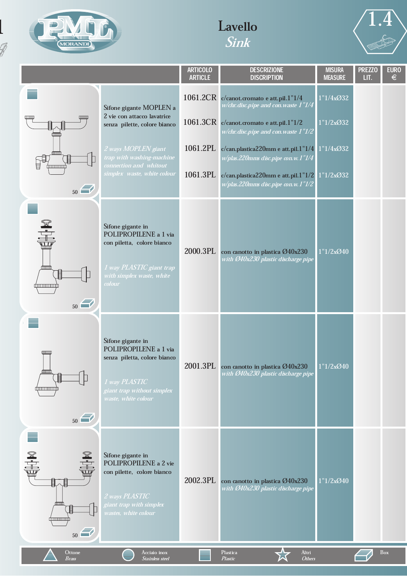

 $\mathbb{Z}$ 

# Lavello Sink



|                                                         |                                                                                                                                                  | <b>ARTICOLO</b><br><b>ARTICLE</b> | <b>DESCRIZIONE</b><br><b>DISCRIPTION</b>                                                     | <b>MISURA</b><br><b>MEASURE</b> | <b>PREZZO</b><br>LIT. | <b>EURO</b><br>$\epsilon$ |
|---------------------------------------------------------|--------------------------------------------------------------------------------------------------------------------------------------------------|-----------------------------------|----------------------------------------------------------------------------------------------|---------------------------------|-----------------------|---------------------------|
|                                                         | Sifone gigante MOPLEN a                                                                                                                          | 1061.2CR                          | c/canot.cromato e att.pil.1"1/4<br>w/chr.disc.pipe and con.waste $1^{\prime\prime}\!1\!/\!4$ | 1"1/4xO32                       |                       |                           |
| www<br>سسه<br>ŒШ                                        | 2 vie con attacco lavatrice<br>senza pilette, colore bianco                                                                                      |                                   | 1061.3CR c/canot.cromato e att.pil.1"1/2<br>w/chr.disc.pipe and con.waste $1"1/2$            | 1"1/2xO32                       |                       |                           |
| Œ<br>圓<br>昌<br>1mmmm)                                   | 2 ways MOPLEN giant<br>trap with washing-machine<br>connection and whitout                                                                       | 1061.2PL                          | c/can.plastica220mm e att.pil.1" $1/4$ 1" $1/4x$ Ø32<br>w/plas.220mms disc.pipe con.w.1"1/4  |                                 |                       |                           |
| 50                                                      | simplex waste, white colour                                                                                                                      | 1061.3PL                          | c/can.plastica220mm e att.pil.1" $1/2$ 1" $1/2x$ Ø32<br>w/plas.220mms disc.pipe con.w.1"1/2  |                                 |                       |                           |
| EHI.<br>ámmin)<br>immumi<br>50                          | Sifone gigante in<br>POLIPROPILENE a 1 via<br>con piletta, colore bianco<br>1 way PLASTIC giant trap<br>with simplex waste, white<br>colour      | 2000.3PL                          | con canotto in plastica Ø40x230<br>with Ø40x230 plastic discharge pipe                       | 1"1/2x@40                       |                       |                           |
| 0000<br>पापाप<br>úmmmú<br>50                            | Sifone gigante in<br>POLIPROPILENE a 1 via<br>senza piletta, colore bianco<br>1 way PLASTIC<br>giant trap without simplex<br>waste, white colour | 2001.3PL                          | con canotto in plastica Ø40x230<br>with Ø40x230 plastic discharge pipe                       | 1"1/2x@40                       |                       |                           |
| EHIK<br>一<br>تسست<br>頂<br><b>dponent property</b><br>50 | Sifone gigante in<br>POLIPROPILENE a 2 vie<br>con pilette, colore bianco<br>2 ways PLASTIC<br>giant trap with simplex<br>wastes, white colour    | 2002.3PL                          | con canotto in plastica Ø40x230<br>with Ø40x230 plastic discharge pipe                       | 1"1/2x@40                       |                       |                           |
| Ottone<br>Brass                                         | Acciaio inox<br><b>Stainless steel</b>                                                                                                           |                                   | Altri<br>Plastica<br><b>Others</b><br>Plastic                                                |                                 |                       | $\mathbf{Box}$            |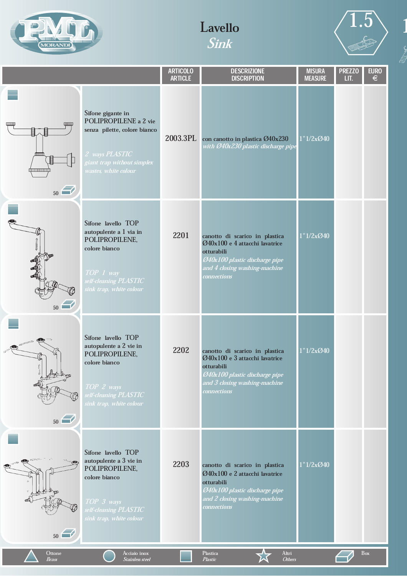





1

|                                                            |                                                                                                                                                    | <b>ARTICOLO</b><br><b>ARTICLE</b> | <b>DESCRIZIONE</b><br><b>DISCRIPTION</b>                                                                                                                                | <b>MISURA</b><br><b>MEASURE</b> | <b>PREZZO</b><br>LIT. | <b>EURO</b><br>$\in$ |
|------------------------------------------------------------|----------------------------------------------------------------------------------------------------------------------------------------------------|-----------------------------------|-------------------------------------------------------------------------------------------------------------------------------------------------------------------------|---------------------------------|-----------------------|----------------------|
| $\frac{1}{2}$<br>$\text{unm}$<br>臫<br><u>(mmmm)</u><br>50< | Sifone gigante in<br>POLIPROPILENE a 2 vie<br>senza pilette, colore bianco<br>2 ways PLASTIC<br>giant trap without simplex<br>wastes, white colour | 2003.3PL                          | con canotto in plastica Ø40x230<br>with Ø40x230 plastic discharge pipe                                                                                                  | 1"1/2x@40                       |                       |                      |
| 50                                                         | Sifone lavello TOP<br>autopulente a 1 via in<br>POLIPROPILENE,<br>colore bianco<br>TOP 1 way<br>self-cleaning PLASTIC<br>sink trap, white colour   | 2201                              | canotto di scarico in plastica<br>Ø40x100 e 4 attacchi lavatrice<br>otturabili<br>040x100 plastic discharge pipe<br>and 4 closing washing-machine<br>connections        | 1"1/2x@40                       |                       |                      |
| 50                                                         | Sifone lavello TOP<br>autopulente a 2 vie in<br>POLIPROPILENE,<br>colore bianco<br>TOP 2 ways<br>self-cleaning PLASTIC<br>sink trap, white colour  | 2202                              | canotto di scarico in plastica<br>Ø40x100 e 3 attacchi lavatrice<br>otturabili<br>Ø40x100 plastic discharge pipe<br>and 3 closing washing-machine<br><b>connections</b> | 1"1/2x@40                       |                       |                      |
| 50                                                         | Sifone lavello TOP<br>autopulente a 3 vie in<br>POLIPROPILENE,<br>colore bianco<br>TOP 3 ways<br>self-cleaning PLASTIC<br>sink trap, white colour  | 2203                              | canotto di scarico in plastica<br>Ø40x100 e 2 attacchi lavatrice<br>otturabili<br>Ø40x100 plastic discharge pipe<br>and 2 closing washing-machine<br><i>connections</i> | 1"1/2x@40                       |                       |                      |
| Ottone<br><b>Brass</b>                                     | Acciaio inox<br><b>Stainless steel</b>                                                                                                             |                                   | Plastica<br>Altri<br>Plastic<br><b>Others</b>                                                                                                                           |                                 |                       | Box                  |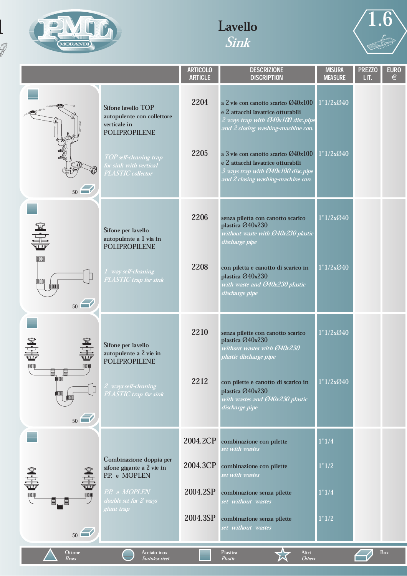

 $\mathbb{Z}$ 

# Lavello Sink



|                          |                                                                                                                                                                   | <b>ARTICOLO</b><br><b>ARTICLE</b> | <b>DESCRIZIONE</b><br><b>DISCRIPTION</b>                                                                                                                                                                                                                                                                     | <b>MISURA</b><br><b>MEASURE</b> | <b>PREZZO</b><br>LIT. | <b>EURO</b><br>$\epsilon$ |
|--------------------------|-------------------------------------------------------------------------------------------------------------------------------------------------------------------|-----------------------------------|--------------------------------------------------------------------------------------------------------------------------------------------------------------------------------------------------------------------------------------------------------------------------------------------------------------|---------------------------------|-----------------------|---------------------------|
| 50                       | Sifone lavello TOP<br>autopulente con collettore<br>verticale in<br><b>POLIPROPILENE</b><br>TOP self-cleaning trap<br>for sink with vertical<br>PLASTIC collector | 2204<br>2205                      | a 2 vie con canotto scarico Ø40x100<br>e 2 attacchi lavatrice otturabili<br>2 ways trap with Ø40x100 disc.pipe<br>and 2 closing washing-machine con.<br>a 3 vie con canotto scarico Ø40x100<br>e 2 attacchi lavatrice otturabili<br>3 ways trap with Ø40x100 disc.pipe<br>and 2 closing washing-machine con. | 1"1/2x040<br>1"1/2x@40          |                       |                           |
| 44<br>0000               | Sifone per lavello<br>autopulente a 1 via in<br><b>POLIPROPILENE</b>                                                                                              | 2206                              | senza piletta con canotto scarico<br>plastica Ø40x230<br>without waste with Ø40x230 plastic<br>discharge pipe                                                                                                                                                                                                | 1"1/2x@40                       |                       |                           |
| 00000<br>50              | 1 way self-cleaning<br>PLASTIC trap for sink                                                                                                                      | 2208                              | con piletta e canotto di scarico in<br>plastica Ø40x230<br>with waste and Ø40x230 plastic<br>discharge pipe                                                                                                                                                                                                  | 1"1/2x@40                       |                       |                           |
| 0000<br><b>TOOL</b><br>圁 | Sifone per lavello<br>autopulente a 2 vie in<br><b>POLIPROPILENE</b>                                                                                              | 2210                              | senza pilette con canotto scarico<br>plastica Ø40x230<br>without wastes with Ø40x230<br>plastic discharge pipe                                                                                                                                                                                               | 1"1/2x@40                       |                       |                           |
| 0000<br>1000<br>50       | 2 ways self-cleaning<br>PLASTIC trap for sink                                                                                                                     | 2212                              | con pilette e canotto di scarico in<br>plastica Ø40x230<br>with wastes and Ø40x230 plastic<br>discharge pipe                                                                                                                                                                                                 | 1"1/2xØ40                       |                       |                           |
|                          |                                                                                                                                                                   | 2004.2CP                          | combinazione con pilette<br>set with wastes                                                                                                                                                                                                                                                                  | 1"1/4                           |                       |                           |
| N<br>U                   | Combinazione doppia per<br>sifone gigante a 2 vie in<br>P.P. e MOPLEN                                                                                             | 2004.3CP                          | combinazione con pilette<br>set with wastes                                                                                                                                                                                                                                                                  | 1"1/2                           |                       |                           |
| 00000                    | P.P. e MOPLEN<br>double set for 2 ways                                                                                                                            | 2004.2SP                          | combinazione senza pilette<br>set without wastes                                                                                                                                                                                                                                                             | 1"1/4                           |                       |                           |
| 50                       | giant trap                                                                                                                                                        | 2004.3SP                          | combinazione senza pilette<br>set without wastes                                                                                                                                                                                                                                                             | 1"1/2                           |                       |                           |
| Ottone<br><b>Brass</b>   | Acciaio inox<br>Stainless steel                                                                                                                                   |                                   | Altri<br>Plastica<br><b>Others</b><br>Plastic                                                                                                                                                                                                                                                                |                                 |                       | Box                       |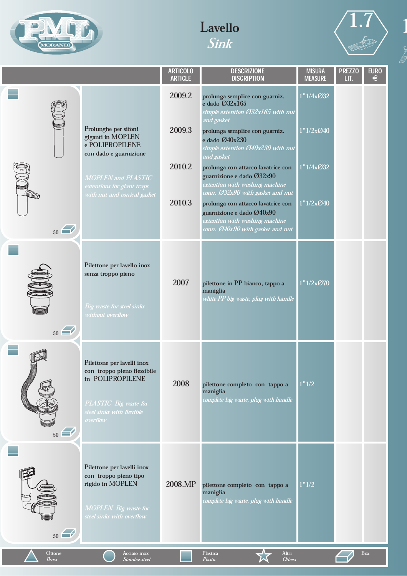





|<br>|}<br>|}

|                        |                                                                                                                                                                                         | <b>ARTICOLO</b><br><b>ARTICLE</b> | <b>DESCRIZIONE</b><br><b>DISCRIPTION</b>                                                                                                                                                                                                                                                                                                                                       | <b>MISURA</b><br><b>MEASURE</b>     | <b>PREZZO</b><br>LIT. | <b>EURO</b><br>$\epsilon$ |
|------------------------|-----------------------------------------------------------------------------------------------------------------------------------------------------------------------------------------|-----------------------------------|--------------------------------------------------------------------------------------------------------------------------------------------------------------------------------------------------------------------------------------------------------------------------------------------------------------------------------------------------------------------------------|-------------------------------------|-----------------------|---------------------------|
| 3<br>- 400             | Prolunghe per sifoni<br>giganti in MOPLEN<br>e POLIPROPILENE<br>con dado e guarnizione<br><b>MOPLEN</b> and <b>PLASTIC</b><br>extentions for giant traps<br>with nut and conical gasket | 2009.2<br>2009.3<br>2010.2        | prolunga semplice con guarniz.<br>$e$ dado $O$ 32x165<br>simple extention $\mathcal{O}32x165$ with nut<br>and gasket<br>prolunga semplice con guarniz.<br>e dado Ø40x230<br>simple extention $O\!\!\!\!A0x230$ with nut<br>and gasket<br>prolunga con attacco lavatrice con<br>guarnizione e dado Ø32x90<br>extention with washing-machine<br>conn. Ø32x90 with gasket and nut | 1"1/4x@32<br>1"1/2x@40<br>1"1/4x@32 |                       |                           |
| 50                     |                                                                                                                                                                                         | 2010.3                            | prolunga con attacco lavatrice con<br>guarnizione e dado Ø40x90<br>extention with washing-machine<br>conn. Ø40x90 with gasket and nut                                                                                                                                                                                                                                          | 1"1/2x@40                           |                       |                           |
| 50                     | Pilettone per lavello inox<br>senza troppo pieno<br>Big waste for steel sinks<br>without overflow                                                                                       | 2007                              | pilettone in PP bianco, tappo a<br>maniglia<br>white PP big waste, plug with handle                                                                                                                                                                                                                                                                                            | 1"1/2x@70                           |                       |                           |
| 50                     | Pilettone per lavelli inox<br>con troppo pieno flessibile<br>in POLIPROPILENE<br>PLASTIC Big waste for<br>steel sinks with flexible<br>overflow                                         | 2008                              | pilettone completo con tappo a<br>maniglia<br>complete big waste, plug with handle                                                                                                                                                                                                                                                                                             | 1"1/2                               |                       |                           |
| 50                     | Pilettone per lavelli inox<br>con troppo pieno tipo<br>rigido in MOPLEN<br><b>MOPLEN</b> Big waste for<br>steel sinks with overflow                                                     | 2008.MP                           | pilettone completo con tappo a<br>maniglia<br>complete big waste, plug with handle                                                                                                                                                                                                                                                                                             | 1"1/2                               |                       |                           |
| Ottone<br><b>Brass</b> | Acciaio inox<br>Stainless steel                                                                                                                                                         |                                   | Altri<br>Plastica<br><b>Others</b><br>Plastic                                                                                                                                                                                                                                                                                                                                  |                                     |                       | Box                       |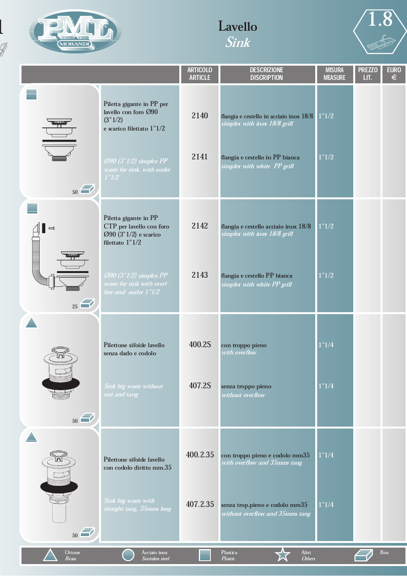

 $\mathbb{Z}$ 

# Lavello Sink



|                                |                                                                                                                                                             | <b>ARTICOLO</b><br><b>ARTICLE</b> | <b>DESCRIZIONE</b><br><b>DISCRIPTION</b>                                                                                                          | <b>MISURA</b><br><b>MEASURE</b> | <b>PREZZO</b><br>LIT. | <b>EURO</b><br>$\epsilon$ |
|--------------------------------|-------------------------------------------------------------------------------------------------------------------------------------------------------------|-----------------------------------|---------------------------------------------------------------------------------------------------------------------------------------------------|---------------------------------|-----------------------|---------------------------|
| <b>MANITE AND</b><br>50        | Piletta gigante in PP per<br>lavello con foro Ø90<br>(3"1/2)<br>e scarico filettato 1"1/2<br>090 (3"1/2) simplex PP<br>waste for sink, with outlet<br>1"1/2 | 2140<br>2141                      | flangia e cestello in acciaio inox 18/8   1"1/2<br>simplex with inox 18/8 grill<br>flangia e cestello in PP bianca<br>simplex with white PP grill | 1"1/2                           |                       |                           |
| $\Box$<br>mn m                 | Piletta gigante in PP<br>CTP per lavello con foro<br>Ø90 (3"1/2) e scarico<br>filettato 1"1/2                                                               | 2142                              | flangia e cestello acciaio inox 18/8<br>simplex with inox 18/8 grill                                                                              | 1"1/2                           |                       |                           |
| <b>SAN HENDER HENDER</b><br>25 | $O(90)$ (3"1/2) simplex PP<br>waste for sink with overl-<br>fow and outlet 1"1/2                                                                            | 2143                              | flangia e cestello PP bianca<br>simplex with white PP grill                                                                                       | 1"1/2                           |                       |                           |
|                                | Pilettone sifoide lavello<br>senza dado e codolo                                                                                                            | 400.2S                            | con troppo pieno<br>with overflow                                                                                                                 | 1"1/4                           |                       |                           |
| 50                             | Sink big waste without<br>nut and tang                                                                                                                      | 407.2S                            | senza troppo pieno<br>without overflow                                                                                                            | 1"1/4                           |                       |                           |
|                                | Pilettone sifoide lavello<br>con codolo diritto mm.35                                                                                                       | 400.2.35                          | con troppo pieno e codolo mm35<br>with overflow and 35mms tang                                                                                    | 1"1/4                           |                       |                           |
| 50                             | Sink big waste with<br>straight tang, 35mms long                                                                                                            | 407.2.35                          | senza trop.pieno e codolo mm35<br>without overflow and 35mms tang                                                                                 | 1"1/4                           |                       |                           |
| Ottone<br>Brass                | Acciaio inox<br>Stainless steel                                                                                                                             |                                   | Altri<br>Plastica<br><b>Others</b><br>Plastic                                                                                                     |                                 |                       | Box                       |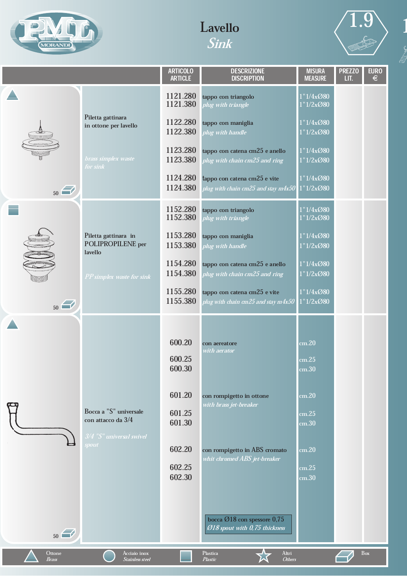





 $\begin{bmatrix} 1 \\ 2 \end{bmatrix}$ 

|                        |                                                      | <b>ARTICOLO</b><br><b>ARTICLE</b> | <b>DESCRIZIONE</b><br><b>DISCRIPTION</b>                                        | <b>MISURA</b><br><b>MEASURE</b> | <b>PREZZO</b><br>LIT. | <b>EURO</b><br>$\in$ |
|------------------------|------------------------------------------------------|-----------------------------------|---------------------------------------------------------------------------------|---------------------------------|-----------------------|----------------------|
|                        |                                                      | 1121.280<br>1121.380              | tappo con triangolo<br>plug with triangle                                       | 1"1/4x@80<br>1"1/2x@80          |                       |                      |
|                        | Piletta gattinara<br>in ottone per lavello           | 1122.280<br>1122.380              | tappo con maniglia<br>plug with handle                                          | 1"1/4x@80<br>1"1/2x@80          |                       |                      |
|                        | brass simplex waste<br>for sink                      | 1123.280<br>1123.380              | tappo con catena cm25 e anello<br>plug with chain cm25 and ring                 | 1"1/4x@80<br>1"1/2x@80          |                       |                      |
| $_{50}$                |                                                      | 1124.280<br>1124.380              | tappo con catena cm25 e vite<br>plug with chain cm25 and stay m4x50 $^{\prime}$ | 1"1/4x@80<br>1"1/2x@80          |                       |                      |
|                        |                                                      | 1152.280<br>1152.380              | tappo con triangolo<br>plug with triangle                                       | 1"1/4x080<br>1"1/2x@80          |                       |                      |
|                        | Piletta gattinara in<br>POLIPROPILENE per<br>lavello | 1153.280<br>1153.380              | tappo con maniglia<br>plug with handle                                          | 1"1/4x@80<br>1"1/2x@80          |                       |                      |
|                        | PP simplex waste for sink                            | 1154.280<br>1154.380              | tappo con catena cm25 e anello<br>plug with chain cm25 and ring                 | 1"1/4x@80<br>1''1/2x080         |                       |                      |
| 50                     |                                                      | 1155.280<br>1155.380              | tappo con catena cm25 e vite<br>plug with chain cm25 and stay m4x50             | 1"1/4xO80<br>1"1/2x@80          |                       |                      |
|                        |                                                      |                                   |                                                                                 |                                 |                       |                      |
|                        |                                                      | 600.20                            | con aereatore                                                                   | cm.20                           |                       |                      |
|                        |                                                      | 600.25<br>600.30                  | with aerator                                                                    | cm.25<br>cm.30                  |                       |                      |
|                        |                                                      | 601.20                            | con rompigetto in ottone<br>with brass jet-breaker                              | cm.20                           |                       |                      |
|                        | Bocca a "S" universale<br>con attacco da 3/4         | 601.25<br>601.30                  |                                                                                 | cm.25<br>cm.30                  |                       |                      |
|                        | 3/4 "S" universal swivel<br>spout                    | 602.20                            | con rompigetto in ABS cromato<br>whit chromed ABS jet-breaker                   | cm.20                           |                       |                      |
|                        |                                                      | 602.25<br>602.30                  |                                                                                 | cm.25<br>cm.30                  |                       |                      |
|                        |                                                      |                                   |                                                                                 |                                 |                       |                      |
| 50                     |                                                      |                                   | bocca Ø18 con spessore 0,75<br>Ø18 spout with 0,75 thickness                    |                                 |                       |                      |
| Ottone<br><b>Brass</b> | Acciaio inox<br><b>Stainless steel</b>               |                                   | Plastica<br>Altri<br>Plastic<br><b>Others</b>                                   |                                 |                       | Box                  |